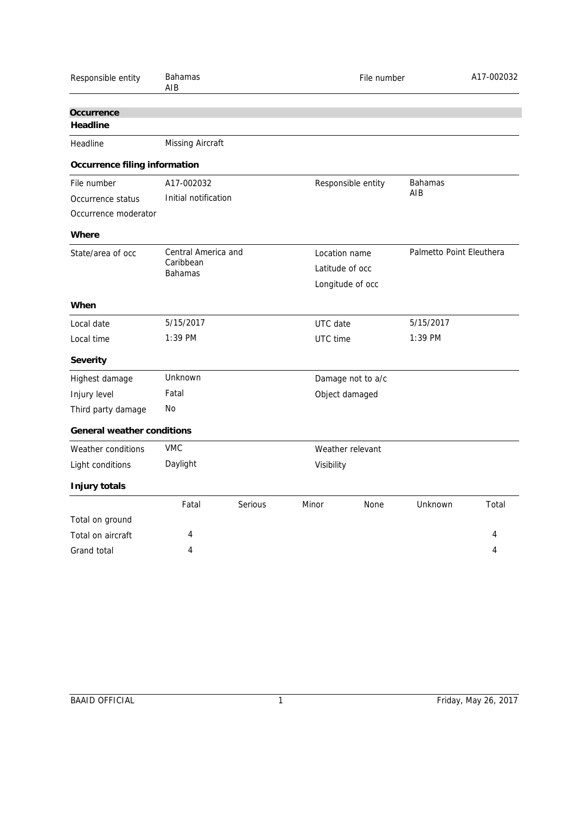| Responsible entity                | <b>Bahamas</b><br>AIB       |         | File number       |                    | A17-002032               |       |
|-----------------------------------|-----------------------------|---------|-------------------|--------------------|--------------------------|-------|
| Occurrence                        |                             |         |                   |                    |                          |       |
| Headline                          |                             |         |                   |                    |                          |       |
| Headline                          | Missing Aircraft            |         |                   |                    |                          |       |
| Occurrence filing information     |                             |         |                   |                    |                          |       |
| File number                       | A17-002032                  |         |                   | Responsible entity |                          |       |
| Occurrence status                 | Initial notification        |         |                   |                    | AIB                      |       |
| Occurrence moderator              |                             |         |                   |                    |                          |       |
| Where                             |                             |         |                   |                    |                          |       |
| State/area of occ                 | Central America and         |         | Location name     |                    | Palmetto Point Eleuthera |       |
|                                   | Caribbean<br><b>Bahamas</b> |         | Latitude of occ   |                    |                          |       |
|                                   |                             |         | Longitude of occ  |                    |                          |       |
| When                              |                             |         |                   |                    |                          |       |
| Local date                        | 5/15/2017                   |         | UTC date          |                    | 5/15/2017                |       |
| Local time                        | 1:39 PM                     |         | UTC time          |                    | 1:39 PM                  |       |
| Severity                          |                             |         |                   |                    |                          |       |
| Highest damage                    | Unknown                     |         | Damage not to a/c |                    |                          |       |
| Injury level                      | Fatal                       |         |                   | Object damaged     |                          |       |
| Third party damage                | No                          |         |                   |                    |                          |       |
| <b>General weather conditions</b> |                             |         |                   |                    |                          |       |
| Weather conditions                | <b>VMC</b>                  |         | Weather relevant  |                    |                          |       |
| Light conditions                  | Daylight                    |         | Visibility        |                    |                          |       |
| Injury totals                     |                             |         |                   |                    |                          |       |
|                                   | Fatal                       | Serious | Minor             | None               | Unknown                  | Total |
| Total on ground                   |                             |         |                   |                    |                          |       |
| Total on aircraft                 | 4                           |         |                   |                    |                          | 4     |
| Grand total                       | 4                           |         |                   |                    |                          | 4     |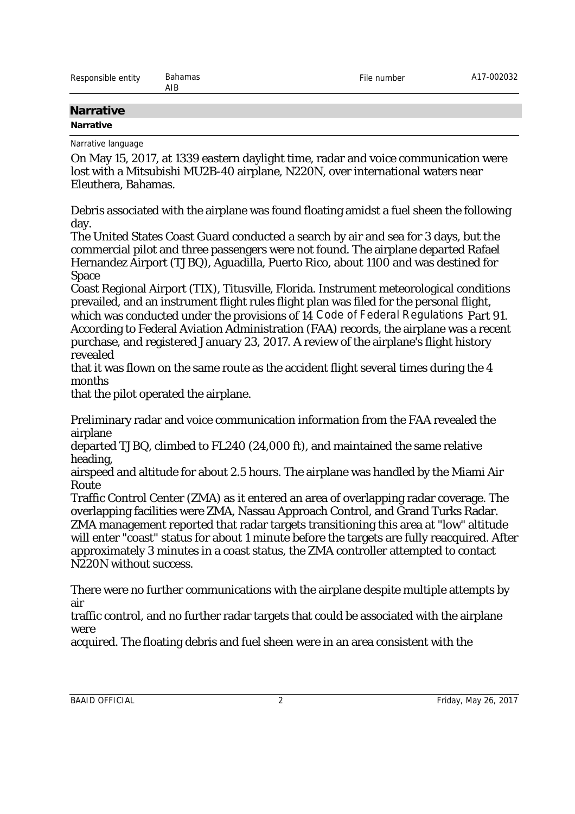| Responsible entity | Bahamas<br>AIB | $-$ .<br>-не<br>number | CEUCUU.<br>ےںر |
|--------------------|----------------|------------------------|----------------|
|                    |                |                        |                |

## **Narrative**

## **Narrative**

Narrative language

On May 15, 2017, at 1339 eastern daylight time, radar and voice communication were lost with a Mitsubishi MU2B-40 airplane, N220N, over international waters near Eleuthera, Bahamas.

Debris associated with the airplane was found floating amidst a fuel sheen the following day.

The United States Coast Guard conducted a search by air and sea for 3 days, but the commercial pilot and three passengers were not found. The airplane departed Rafael Hernandez Airport (TJBQ), Aguadilla, Puerto Rico, about 1100 and was destined for Space

Coast Regional Airport (TIX), Titusville, Florida. Instrument meteorological conditions prevailed, and an instrument flight rules flight plan was filed for the personal flight, which was conducted under the provisions of 14 *Code of Federal Regulations* Part 91. According to Federal Aviation Administration (FAA) records, the airplane was a recent purchase, and registered January 23, 2017. A review of the airplane's flight history revealed

that it was flown on the same route as the accident flight several times during the 4 months

that the pilot operated the airplane.

Preliminary radar and voice communication information from the FAA revealed the airplane

departed TJBQ, climbed to FL240 (24,000 ft), and maintained the same relative heading,

airspeed and altitude for about 2.5 hours. The airplane was handled by the Miami Air Route

Traffic Control Center (ZMA) as it entered an area of overlapping radar coverage. The overlapping facilities were ZMA, Nassau Approach Control, and Grand Turks Radar. ZMA management reported that radar targets transitioning this area at "low" altitude will enter "coast" status for about 1 minute before the targets are fully reacquired. After approximately 3 minutes in a coast status, the ZMA controller attempted to contact N220N without success.

There were no further communications with the airplane despite multiple attempts by air

traffic control, and no further radar targets that could be associated with the airplane were

acquired. The floating debris and fuel sheen were in an area consistent with the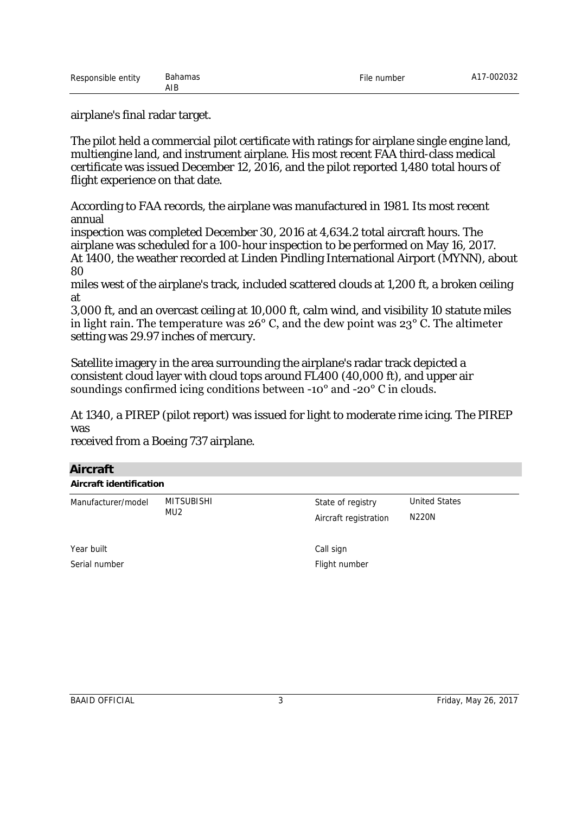airplane's final radar target.

The pilot held a commercial pilot certificate with ratings for airplane single engine land, multiengine land, and instrument airplane. His most recent FAA third-class medical certificate was issued December 12, 2016, and the pilot reported 1,480 total hours of flight experience on that date.

According to FAA records, the airplane was manufactured in 1981. Its most recent annual

inspection was completed December 30, 2016 at 4,634.2 total aircraft hours. The airplane was scheduled for a 100-hour inspection to be performed on May 16, 2017. At 1400, the weather recorded at Linden Pindling International Airport (MYNN), about 80

miles west of the airplane's track, included scattered clouds at 1,200 ft, a broken ceiling at

3,000 ft, and an overcast ceiling at 10,000 ft, calm wind, and visibility 10 statute miles in light rain. The temperature was 26° C, and the dew point was 23° C. The altimeter setting was 29.97 inches of mercury.

Satellite imagery in the area surrounding the airplane's radar track depicted a consistent cloud layer with cloud tops around FL400 (40,000 ft), and upper air soundings confirmed icing conditions between -10° and -20° C in clouds.

At 1340, a PIREP (pilot report) was issued for light to moderate rime icing. The PIREP was

received from a Boeing 737 airplane.

## **Aircraft**

| Aircraft identification |                   |                       |                      |  |  |
|-------------------------|-------------------|-----------------------|----------------------|--|--|
| Manufacturer/model      | MITSUBISHI<br>MU2 | State of registry     | <b>United States</b> |  |  |
|                         |                   | Aircraft registration | N220N                |  |  |
| Year built              |                   | Call sign             |                      |  |  |
| Serial number           |                   | Flight number         |                      |  |  |